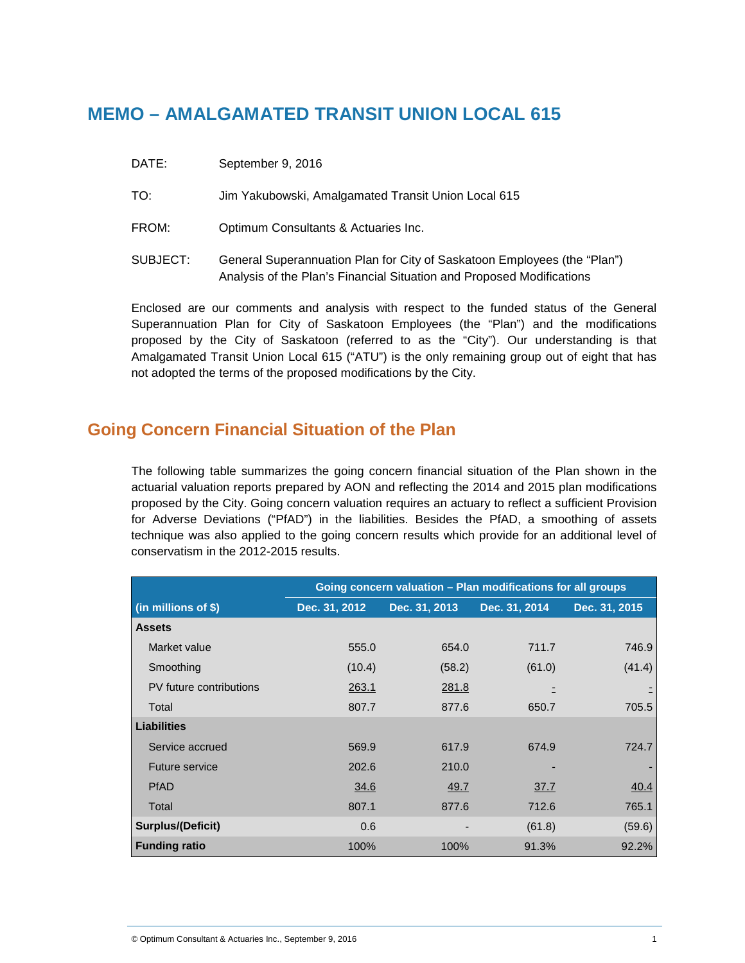# **MEMO – AMALGAMATED TRANSIT UNION LOCAL 615**

- DATE: September 9, 2016
- TO: Jim Yakubowski, Amalgamated Transit Union Local 615
- FROM: Optimum Consultants & Actuaries Inc.
- SUBJECT: General Superannuation Plan for City of Saskatoon Employees (the "Plan") Analysis of the Plan's Financial Situation and Proposed Modifications

Enclosed are our comments and analysis with respect to the funded status of the General Superannuation Plan for City of Saskatoon Employees (the "Plan") and the modifications proposed by the City of Saskatoon (referred to as the "City"). Our understanding is that Amalgamated Transit Union Local 615 ("ATU") is the only remaining group out of eight that has not adopted the terms of the proposed modifications by the City.

## **Going Concern Financial Situation of the Plan**

The following table summarizes the going concern financial situation of the Plan shown in the actuarial valuation reports prepared by AON and reflecting the 2014 and 2015 plan modifications proposed by the City. Going concern valuation requires an actuary to reflect a sufficient Provision for Adverse Deviations ("PfAD") in the liabilities. Besides the PfAD, a smoothing of assets technique was also applied to the going concern results which provide for an additional level of conservatism in the 2012-2015 results.

|                          | Going concern valuation - Plan modifications for all groups |               |               |               |
|--------------------------|-------------------------------------------------------------|---------------|---------------|---------------|
| (in millions of \$)      | Dec. 31, 2012                                               | Dec. 31, 2013 | Dec. 31, 2014 | Dec. 31, 2015 |
| <b>Assets</b>            |                                                             |               |               |               |
| Market value             | 555.0                                                       | 654.0         | 711.7         | 746.9         |
| Smoothing                | (10.4)                                                      | (58.2)        | (61.0)        | (41.4)        |
| PV future contributions  | 263.1                                                       | 281.8         |               |               |
| Total                    | 807.7                                                       | 877.6         | 650.7         | 705.5         |
| <b>Liabilities</b>       |                                                             |               |               |               |
| Service accrued          | 569.9                                                       | 617.9         | 674.9         | 724.7         |
| Future service           | 202.6                                                       | 210.0         |               |               |
| <b>PfAD</b>              | 34.6                                                        | 49.7          | 37.7          | 40.4          |
| Total                    | 807.1                                                       | 877.6         | 712.6         | 765.1         |
| <b>Surplus/(Deficit)</b> | 0.6                                                         |               | (61.8)        | (59.6)        |
| <b>Funding ratio</b>     | 100%                                                        | 100%          | 91.3%         | 92.2%         |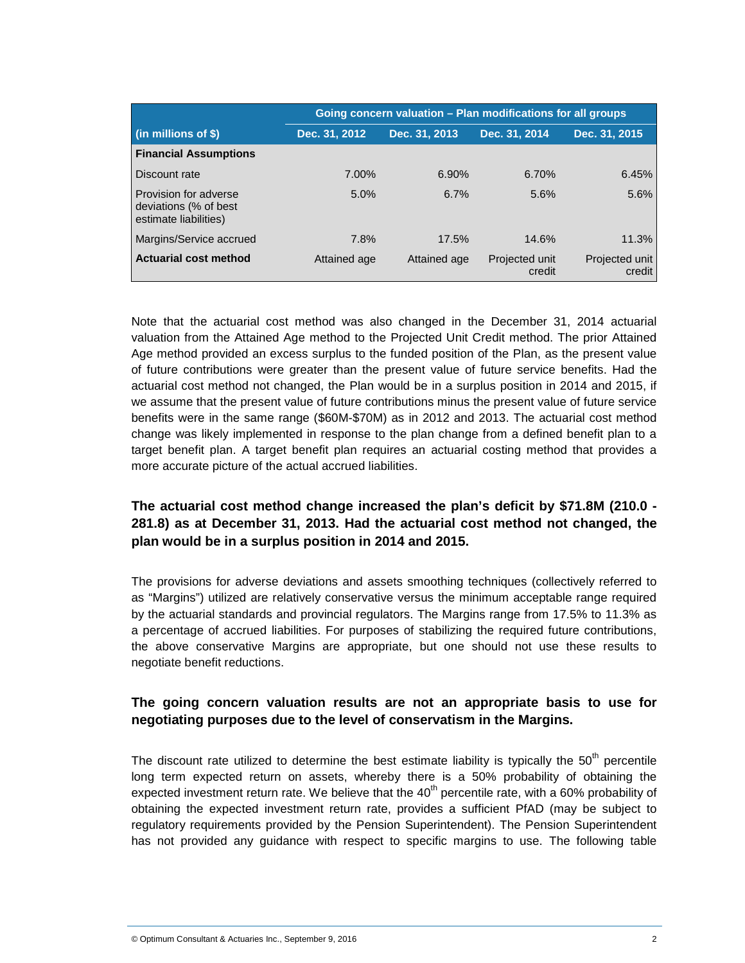|                                                                         | Going concern valuation - Plan modifications for all groups |               |                          |                          |
|-------------------------------------------------------------------------|-------------------------------------------------------------|---------------|--------------------------|--------------------------|
| $(in$ millions of \$)                                                   | Dec. 31, 2012                                               | Dec. 31, 2013 | Dec. 31, 2014            | Dec. 31, 2015            |
| <b>Financial Assumptions</b>                                            |                                                             |               |                          |                          |
| Discount rate                                                           | 7.00%                                                       | 6.90%         | 6.70%                    | 6.45%                    |
| Provision for adverse<br>deviations (% of best<br>estimate liabilities) | 5.0%                                                        | 6.7%          | 5.6%                     | 5.6%                     |
| Margins/Service accrued                                                 | 7.8%                                                        | 17.5%         | 14.6%                    | 11.3%                    |
| <b>Actuarial cost method</b>                                            | Attained age                                                | Attained age  | Projected unit<br>credit | Projected unit<br>credit |

Note that the actuarial cost method was also changed in the December 31, 2014 actuarial valuation from the Attained Age method to the Projected Unit Credit method. The prior Attained Age method provided an excess surplus to the funded position of the Plan, as the present value of future contributions were greater than the present value of future service benefits. Had the actuarial cost method not changed, the Plan would be in a surplus position in 2014 and 2015, if we assume that the present value of future contributions minus the present value of future service benefits were in the same range (\$60M-\$70M) as in 2012 and 2013. The actuarial cost method change was likely implemented in response to the plan change from a defined benefit plan to a target benefit plan. A target benefit plan requires an actuarial costing method that provides a more accurate picture of the actual accrued liabilities.

#### **The actuarial cost method change increased the plan's deficit by \$71.8M (210.0 - 281.8) as at December 31, 2013. Had the actuarial cost method not changed, the plan would be in a surplus position in 2014 and 2015.**

The provisions for adverse deviations and assets smoothing techniques (collectively referred to as "Margins") utilized are relatively conservative versus the minimum acceptable range required by the actuarial standards and provincial regulators. The Margins range from 17.5% to 11.3% as a percentage of accrued liabilities. For purposes of stabilizing the required future contributions, the above conservative Margins are appropriate, but one should not use these results to negotiate benefit reductions.

#### **The going concern valuation results are not an appropriate basis to use for negotiating purposes due to the level of conservatism in the Margins.**

The discount rate utilized to determine the best estimate liability is typically the  $50<sup>th</sup>$  percentile long term expected return on assets, whereby there is a 50% probability of obtaining the expected investment return rate. We believe that the  $40<sup>th</sup>$  percentile rate, with a 60% probability of obtaining the expected investment return rate, provides a sufficient PfAD (may be subject to regulatory requirements provided by the Pension Superintendent). The Pension Superintendent has not provided any guidance with respect to specific margins to use. The following table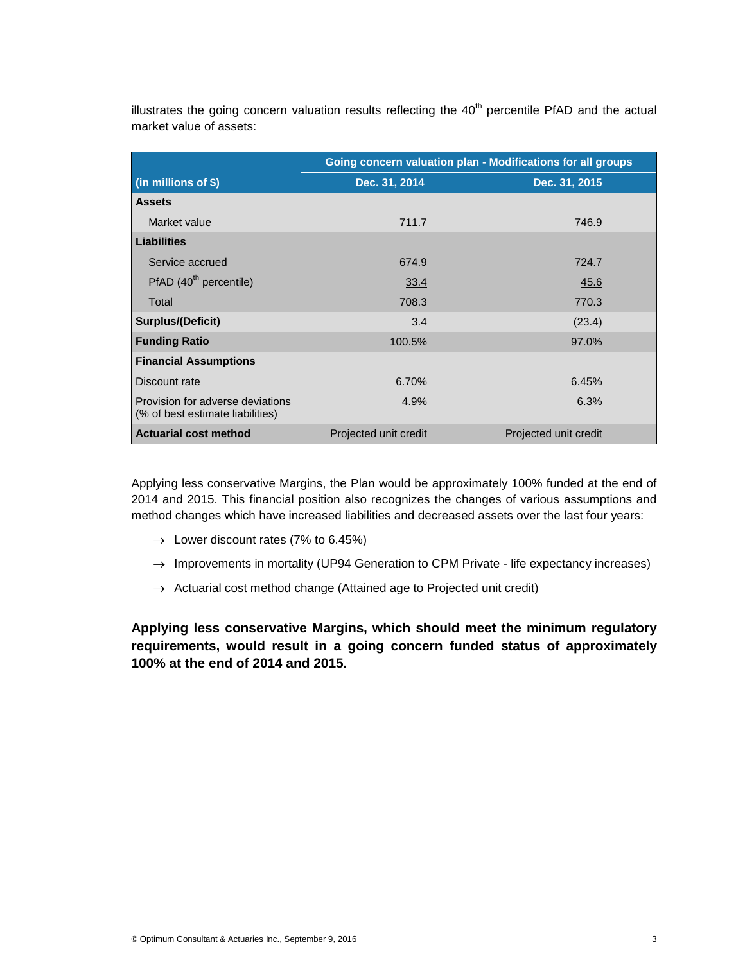illustrates the going concern valuation results reflecting the  $40<sup>th</sup>$  percentile PfAD and the actual market value of assets:

|                                                                      | Going concern valuation plan - Modifications for all groups |                       |  |
|----------------------------------------------------------------------|-------------------------------------------------------------|-----------------------|--|
| (in millions of \$)                                                  | Dec. 31, 2014                                               | Dec. 31, 2015         |  |
| <b>Assets</b>                                                        |                                                             |                       |  |
| Market value                                                         | 711.7                                                       | 746.9                 |  |
| <b>Liabilities</b>                                                   |                                                             |                       |  |
| Service accrued                                                      | 674.9                                                       | 724.7                 |  |
| PfAD(40 <sup>th</sup> percentile)                                    | 33.4                                                        | 45.6                  |  |
| Total                                                                | 708.3                                                       | 770.3                 |  |
| <b>Surplus/(Deficit)</b>                                             | 3.4                                                         | (23.4)                |  |
| <b>Funding Ratio</b>                                                 | 100.5%                                                      | 97.0%                 |  |
| <b>Financial Assumptions</b>                                         |                                                             |                       |  |
| Discount rate                                                        | 6.70%                                                       | 6.45%                 |  |
| Provision for adverse deviations<br>(% of best estimate liabilities) | 4.9%                                                        | 6.3%                  |  |
| <b>Actuarial cost method</b>                                         | Projected unit credit                                       | Projected unit credit |  |

Applying less conservative Margins, the Plan would be approximately 100% funded at the end of 2014 and 2015. This financial position also recognizes the changes of various assumptions and method changes which have increased liabilities and decreased assets over the last four years:

- $\rightarrow$  Lower discount rates (7% to 6.45%)
- $\rightarrow$  Improvements in mortality (UP94 Generation to CPM Private life expectancy increases)
- $\rightarrow$  Actuarial cost method change (Attained age to Projected unit credit)

**Applying less conservative Margins, which should meet the minimum regulatory requirements, would result in a going concern funded status of approximately 100% at the end of 2014 and 2015.**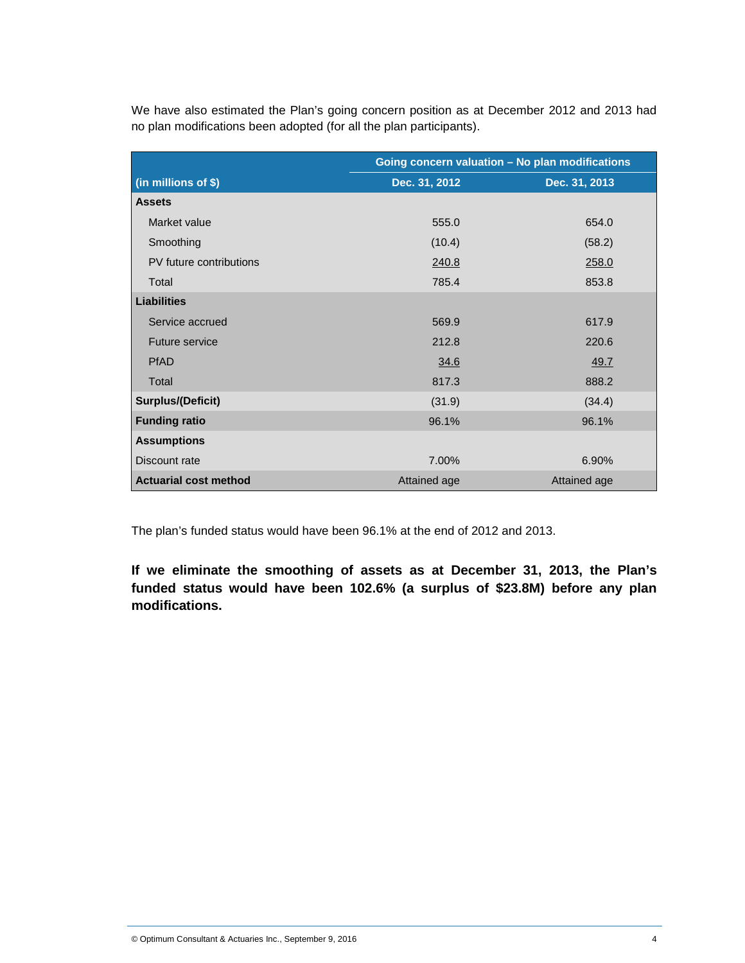We have also estimated the Plan's going concern position as at December 2012 and 2013 had no plan modifications been adopted (for all the plan participants).

|                              | Going concern valuation - No plan modifications |               |  |
|------------------------------|-------------------------------------------------|---------------|--|
| (in millions of \$)          | Dec. 31, 2012                                   | Dec. 31, 2013 |  |
| <b>Assets</b>                |                                                 |               |  |
| Market value                 | 555.0                                           | 654.0         |  |
| Smoothing                    | (10.4)                                          | (58.2)        |  |
| PV future contributions      | 240.8                                           | 258.0         |  |
| Total                        | 785.4                                           | 853.8         |  |
| <b>Liabilities</b>           |                                                 |               |  |
| Service accrued              | 569.9                                           | 617.9         |  |
| Future service               | 212.8                                           | 220.6         |  |
| <b>PfAD</b>                  | 34.6                                            | 49.7          |  |
| Total                        | 817.3                                           | 888.2         |  |
| <b>Surplus/(Deficit)</b>     | (31.9)                                          | (34.4)        |  |
| <b>Funding ratio</b>         | 96.1%                                           | 96.1%         |  |
| <b>Assumptions</b>           |                                                 |               |  |
| Discount rate                | 7.00%                                           | 6.90%         |  |
| <b>Actuarial cost method</b> | Attained age                                    | Attained age  |  |

The plan's funded status would have been 96.1% at the end of 2012 and 2013.

**If we eliminate the smoothing of assets as at December 31, 2013, the Plan's funded status would have been 102.6% (a surplus of \$23.8M) before any plan modifications.**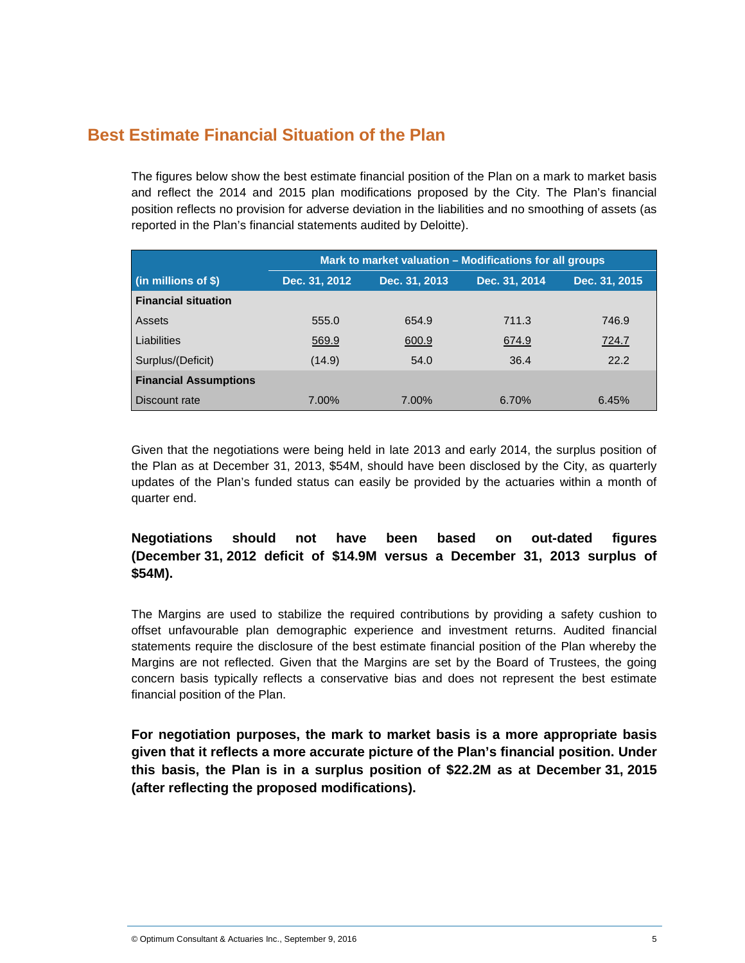## **Best Estimate Financial Situation of the Plan**

The figures below show the best estimate financial position of the Plan on a mark to market basis and reflect the 2014 and 2015 plan modifications proposed by the City. The Plan's financial position reflects no provision for adverse deviation in the liabilities and no smoothing of assets (as reported in the Plan's financial statements audited by Deloitte).

|                                      | Mark to market valuation - Modifications for all groups |               |               |               |
|--------------------------------------|---------------------------------------------------------|---------------|---------------|---------------|
| $\left  \right $ (in millions of \$) | Dec. 31, 2012                                           | Dec. 31, 2013 | Dec. 31, 2014 | Dec. 31, 2015 |
| <b>Financial situation</b>           |                                                         |               |               |               |
| Assets                               | 555.0                                                   | 654.9         | 711.3         | 746.9         |
| Liabilities                          | 569.9                                                   | 600.9         | 674.9         | 724.7         |
| Surplus/(Deficit)                    | (14.9)                                                  | 54.0          | 36.4          | 22.2          |
| <b>Financial Assumptions</b>         |                                                         |               |               |               |
| Discount rate                        | 7.00%                                                   | 7.00%         | 6.70%         | 6.45%         |

Given that the negotiations were being held in late 2013 and early 2014, the surplus position of the Plan as at December 31, 2013, \$54M, should have been disclosed by the City, as quarterly updates of the Plan's funded status can easily be provided by the actuaries within a month of quarter end.

#### **Negotiations should not have been based on out-dated figures (December 31, 2012 deficit of \$14.9M versus a December 31, 2013 surplus of \$54M).**

The Margins are used to stabilize the required contributions by providing a safety cushion to offset unfavourable plan demographic experience and investment returns. Audited financial statements require the disclosure of the best estimate financial position of the Plan whereby the Margins are not reflected. Given that the Margins are set by the Board of Trustees, the going concern basis typically reflects a conservative bias and does not represent the best estimate financial position of the Plan.

**For negotiation purposes, the mark to market basis is a more appropriate basis given that it reflects a more accurate picture of the Plan's financial position. Under this basis, the Plan is in a surplus position of \$22.2M as at December 31, 2015 (after reflecting the proposed modifications).**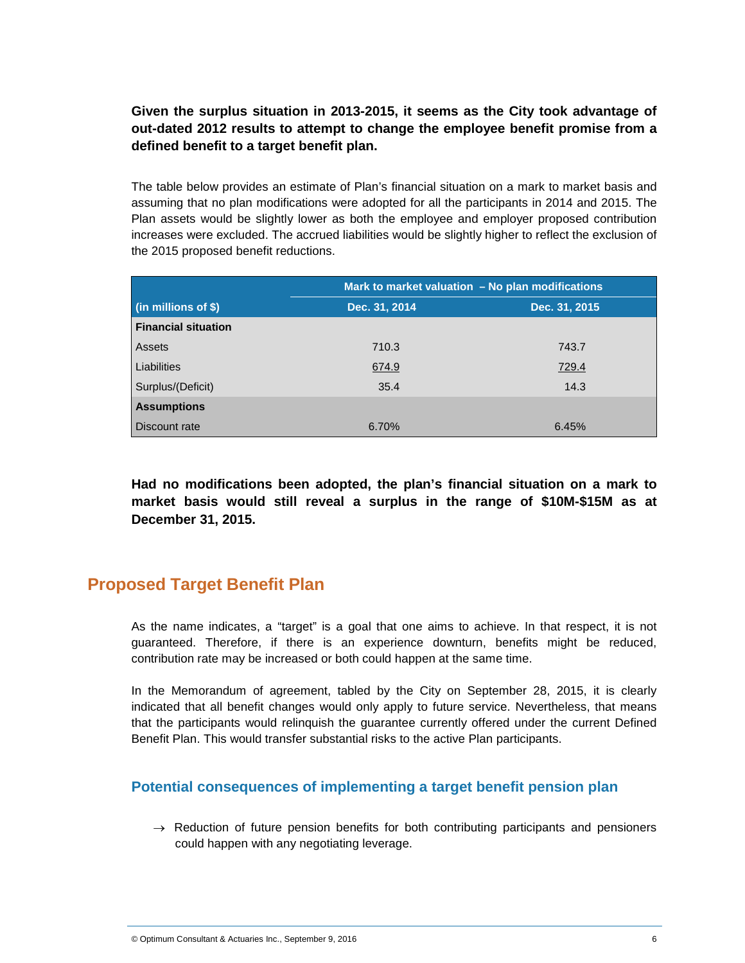#### **Given the surplus situation in 2013-2015, it seems as the City took advantage of out-dated 2012 results to attempt to change the employee benefit promise from a defined benefit to a target benefit plan.**

The table below provides an estimate of Plan's financial situation on a mark to market basis and assuming that no plan modifications were adopted for all the participants in 2014 and 2015. The Plan assets would be slightly lower as both the employee and employer proposed contribution increases were excluded. The accrued liabilities would be slightly higher to reflect the exclusion of the 2015 proposed benefit reductions.

|                            | Mark to market valuation - No plan modifications |               |  |
|----------------------------|--------------------------------------------------|---------------|--|
| (in millions of \$)        | Dec. 31, 2014                                    | Dec. 31, 2015 |  |
| <b>Financial situation</b> |                                                  |               |  |
| Assets                     | 710.3                                            | 743.7         |  |
| Liabilities                | 674.9                                            | 729.4         |  |
| Surplus/(Deficit)          | 35.4                                             | 14.3          |  |
| <b>Assumptions</b>         |                                                  |               |  |
| Discount rate              | 6.70%                                            | 6.45%         |  |

**Had no modifications been adopted, the plan's financial situation on a mark to market basis would still reveal a surplus in the range of \$10M-\$15M as at December 31, 2015.**

## **Proposed Target Benefit Plan**

As the name indicates, a "target" is a goal that one aims to achieve. In that respect, it is not guaranteed. Therefore, if there is an experience downturn, benefits might be reduced, contribution rate may be increased or both could happen at the same time.

In the Memorandum of agreement, tabled by the City on September 28, 2015, it is clearly indicated that all benefit changes would only apply to future service. Nevertheless, that means that the participants would relinquish the guarantee currently offered under the current Defined Benefit Plan. This would transfer substantial risks to the active Plan participants.

#### **Potential consequences of implementing a target benefit pension plan**

 $\rightarrow$  Reduction of future pension benefits for both contributing participants and pensioners could happen with any negotiating leverage.